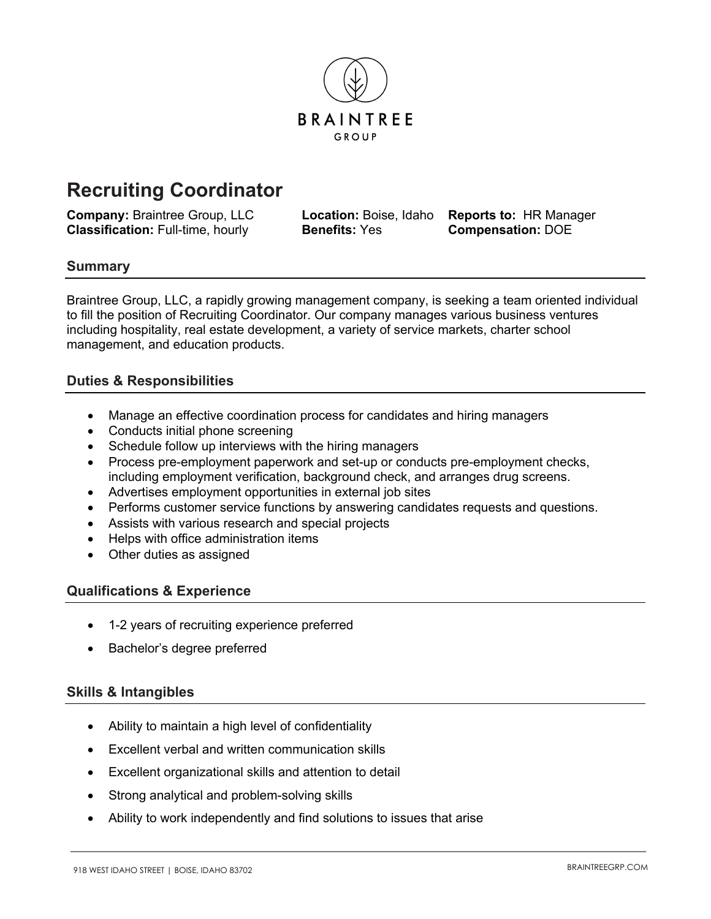

# **Recruiting Coordinator**

**Company:** Braintree Group, LLC **Location:** Boise, Idaho **Reports to:** HR Manager **Classification:** Full-time, hourly **Benefits:** Yes **Compensation:** DOE

# **Summary**

Braintree Group, LLC, a rapidly growing management company, is seeking a team oriented individual to fill the position of Recruiting Coordinator. Our company manages various business ventures including hospitality, real estate development, a variety of service markets, charter school management, and education products.

# **Duties & Responsibilities**

- Manage an effective coordination process for candidates and hiring managers
- Conducts initial phone screening
- Schedule follow up interviews with the hiring managers
- Process pre-employment paperwork and set-up or conducts pre-employment checks, including employment verification, background check, and arranges drug screens.
- Advertises employment opportunities in external job sites
- Performs customer service functions by answering candidates requests and questions.
- Assists with various research and special projects
- Helps with office administration items
- Other duties as assigned

### **Qualifications & Experience**

- 1-2 years of recruiting experience preferred
- Bachelor's degree preferred

### **Skills & Intangibles**

- Ability to maintain a high level of confidentiality
- Excellent verbal and written communication skills
- Excellent organizational skills and attention to detail
- Strong analytical and problem-solving skills
- Ability to work independently and find solutions to issues that arise